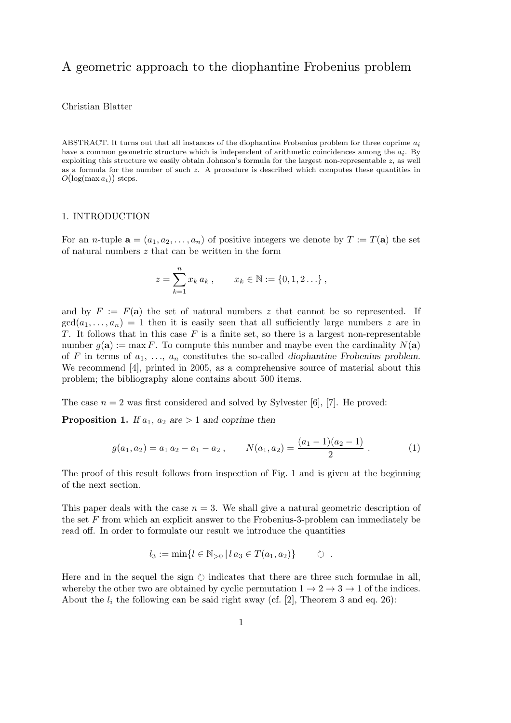# A geometric approach to the diophantine Frobenius problem

# Christian Blatter

ABSTRACT. It turns out that all instances of the diophantine Frobenius problem for three coprime *a*i have a common geometric structure which is independent of arithmetic coincidences among the *a*i. By exploiting this structure we easily obtain Johnson's formula for the largest non-representable *z*, as well as a formula for the number of such *z*. A procedure is described which computes these quantities in  $O(\log(\max a_i))$  steps.

### 1. INTRODUCTION

For an *n*-tuple  $\mathbf{a} = (a_1, a_2, \dots, a_n)$  of positive integers we denote by  $T := T(\mathbf{a})$  the set of natural numbers z that can be written in the form

$$
z = \sum_{k=1}^{n} x_k a_k , \qquad x_k \in \mathbb{N} := \{0, 1, 2 \ldots \} ,
$$

and by  $F := F(a)$  the set of natural numbers z that cannot be so represented. If  $gcd(a_1,...,a_n) = 1$  then it is easily seen that all sufficiently large numbers z are in T. It follows that in this case  $F$  is a finite set, so there is a largest non-representable number  $g(\mathbf{a}) := \max F$ . To compute this number and maybe even the cardinality  $N(\mathbf{a})$ of F in terms of  $a_1, \ldots, a_n$  constitutes the so-called *diophantine Frobenius problem*. We recommend [4], printed in 2005, as a comprehensive source of material about this problem; the bibliography alone contains about 500 items.

The case  $n = 2$  was first considered and solved by Sylvester [6], [7]. He proved:

**Proposition 1.** *If*  $a_1$ ,  $a_2$  *are*  $> 1$  *and coprime then* 

$$
g(a_1, a_2) = a_1 a_2 - a_1 - a_2, \qquad N(a_1, a_2) = \frac{(a_1 - 1)(a_2 - 1)}{2} \ . \tag{1}
$$

The proof of this result follows from inspection of Fig. 1 and is given at the beginning of the next section.

This paper deals with the case  $n = 3$ . We shall give a natural geometric description of the set F from which an explicit answer to the Frobenius-3-problem can immediately be read off. In order to formulate our result we introduce the quantities

$$
l_3 := \min\{l \in \mathbb{N}_{>0} \,|\, l\,a_3 \in T(a_1, a_2)\}\qquad \circlearrowright\ .
$$

Here and in the sequel the sign  $\circlearrowright$  indicates that there are three such formulae in all, whereby the other two are obtained by cyclic permutation  $1 \rightarrow 2 \rightarrow 3 \rightarrow 1$  of the indices. About the  $l_i$  the following can be said right away (cf. [2], Theorem 3 and eq. 26):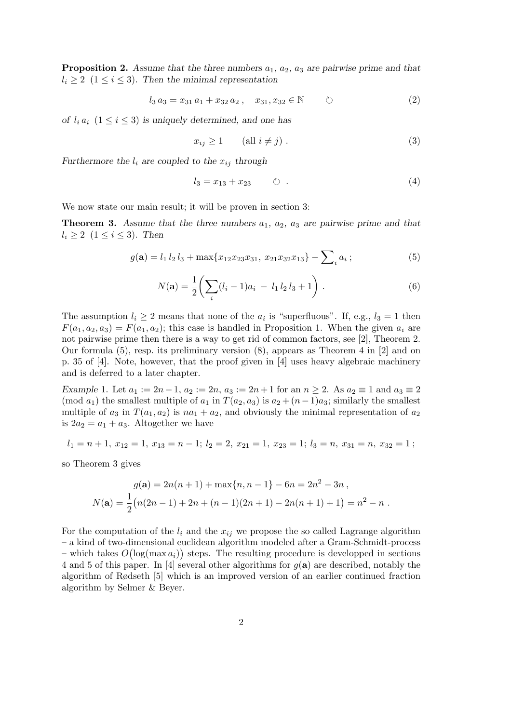**Proposition 2.** Assume that the three numbers  $a_1$ ,  $a_2$ ,  $a_3$  are pairwise prime and that  $l_i \geq 2$  ( $1 \leq i \leq 3$ ). Then the minimal representation

$$
l_3 a_3 = x_{31} a_1 + x_{32} a_2 , \quad x_{31}, x_{32} \in \mathbb{N} \qquad \circlearrowright \qquad (2)
$$

*of*  $l_i a_i$   $(1 \leq i \leq 3)$  *is uniquely determined, and one has* 

$$
x_{ij} \ge 1 \qquad \text{(all } i \ne j) \tag{3}
$$

*Furthermore the*  $l_i$  *are coupled to the*  $x_{ij}$  *through* 

$$
l_3 = x_{13} + x_{23} \qquad \circlearrowright \ . \tag{4}
$$

We now state our main result; it will be proven in section 3:

**Theorem 3.** Assume that the three numbers  $a_1$ ,  $a_2$ ,  $a_3$  are pairwise prime and that  $l_i \geq 2 \ (1 \leq i \leq 3)$ . Then

$$
g(\mathbf{a}) = l_1 l_2 l_3 + \max\{x_{12} x_{23} x_{31}, x_{21} x_{32} x_{13}\} - \sum_i a_i ; \tag{5}
$$

$$
N(\mathbf{a}) = \frac{1}{2} \left( \sum_{i} (l_i - 1)a_i - l_1 l_2 l_3 + 1 \right).
$$
 (6)

The assumption  $l_i \geq 2$  means that none of the  $a_i$  is "superfluous". If, e.g.,  $l_3 = 1$  then  $F(a_1, a_2, a_3) = F(a_1, a_2)$ ; this case is handled in Proposition 1. When the given  $a_i$  are not pairwise prime then there is a way to get rid of common factors, see [2], Theorem 2. Our formula (5), resp. its preliminary version (8), appears as Theorem 4 in [2] and on p. 35 of [4]. Note, however, that the proof given in [4] uses heavy algebraic machinery and is deferred to a later chapter.

*Example* 1. Let  $a_1 := 2n - 1$ ,  $a_2 := 2n$ ,  $a_3 := 2n + 1$  for an  $n \ge 2$ . As  $a_2 \equiv 1$  and  $a_3 \equiv 2$ (mod  $a_1$ ) the smallest multiple of  $a_1$  in  $T(a_2, a_3)$  is  $a_2 + (n-1)a_3$ ; similarly the smallest multiple of  $a_3$  in  $T(a_1, a_2)$  is  $na_1 + a_2$ , and obviously the minimal representation of  $a_2$ is  $2a_2 = a_1 + a_3$ . Altogether we have

$$
l_1 = n + 1, x_{12} = 1, x_{13} = n - 1; l_2 = 2, x_{21} = 1, x_{23} = 1; l_3 = n, x_{31} = n, x_{32} = 1;
$$

so Theorem 3 gives

$$
g(\mathbf{a}) = 2n(n+1) + \max\{n, n-1\} - 6n = 2n^2 - 3n,
$$
  

$$
N(\mathbf{a}) = \frac{1}{2}(n(2n-1) + 2n + (n-1)(2n+1) - 2n(n+1) + 1) = n^2 - n.
$$

For the computation of the  $l_i$  and the  $x_{ij}$  we propose the so called Lagrange algorithm – a kind of two-dimensional euclidean algorithm modeled after a Gram-Schmidt-process – which takes  $O(\log(\max a_i))$  steps. The resulting procedure is developped in sections 4 and 5 of this paper. In [4] several other algorithms for  $g(\mathbf{a})$  are described, notably the algorithm of Rødseth [5] which is an improved version of an earlier continued fraction algorithm by Selmer & Beyer.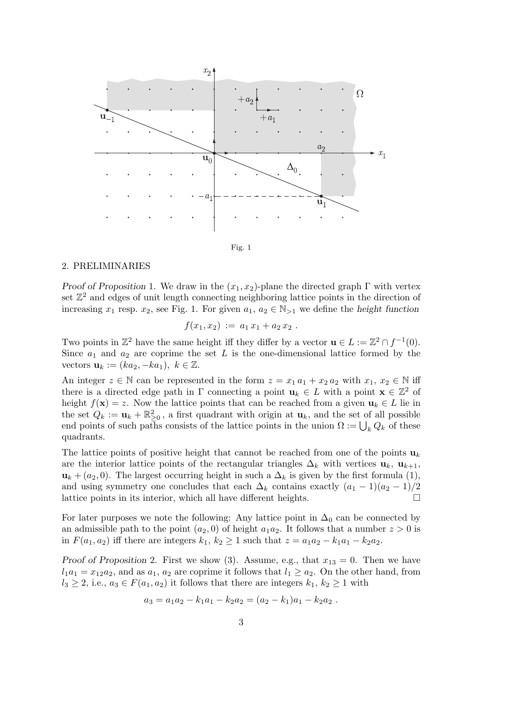



# 2. PRELIMINARIES

*Proof of Proposition* 1. We draw in the  $(x_1, x_2)$ -plane the directed graph Γ with vertex set  $\mathbb{Z}^2$  and edges of unit length connecting neighboring lattice points in the direction of increasing  $x_1$  resp.  $x_2$ , see Fig. 1. For given  $a_1, a_2 \in \mathbb{N}_{>1}$  we define the *height function* 

$$
f(x_1,x_2) := a_1 x_1 + a_2 x_2.
$$

Two points in  $\mathbb{Z}^2$  have the same height iff they differ by a vector  $\mathbf{u} \in L := \mathbb{Z}^2 \cap f^{-1}(0)$ . Since  $a_1$  and  $a_2$  are coprime the set L is the one-dimensional lattice formed by the vectors  $\mathbf{u}_k := (ka_2, -ka_1), k \in \mathbb{Z}$ .

An integer  $z \in \mathbb{N}$  can be represented in the form  $z = x_1 a_1 + x_2 a_2$  with  $x_1, x_2 \in \mathbb{N}$  iff there is a directed edge path in  $\Gamma$  connecting a point  $\mathbf{u}_k \in L$  with a point  $\mathbf{x} \in \mathbb{Z}^2$  of height  $f(\mathbf{x}) = z$ . Now the lattice points that can be reached from a given  $\mathbf{u}_k \in L$  lie in the set  $Q_k := \mathbf{u}_k + \mathbb{R}^2_{\geq 0}$ , a first quadrant with origin at  $\mathbf{u}_k$ , and the set of all possible end points of such paths consists of the lattice points in the union  $\Omega := \bigcup_k Q_k$  of these quadrants.

The lattice points of positive height that cannot be reached from one of the points  $\mathbf{u}_k$ are the interior lattice points of the rectangular triangles  $\Delta_k$  with vertices  $\mathbf{u}_k$ ,  $\mathbf{u}_{k+1}$ ,  $u_k + (a_2, 0)$ . The largest occurring height in such a  $\Delta_k$  is given by the first formula (1), and using symmetry one concludes that each  $\Delta_k$  contains exactly  $(a_1 - 1)(a_2 - 1)/2$ <br>lattice points in its interior, which all have different heights lattice points in its interior, which all have different heights.

For later purposes we note the following: Any lattice point in  $\Delta_0$  can be connected by an admissible path to the point  $(a_2, 0)$  of height  $a_1a_2$ . It follows that a number  $z > 0$  is in  $F(a_1, a_2)$  iff there are integers  $k_1, k_2 \geq 1$  such that  $z = a_1 a_2 - k_1 a_1 - k_2 a_2$ .

*Proof of Proposition* 2. First we show (3). Assume, e.g., that  $x_{13} = 0$ . Then we have  $l_1a_1 = x_{12}a_2$ , and as  $a_1, a_2$  are coprime it follows that  $l_1 \ge a_2$ . On the other hand, from  $l_3 \geq 2$ , i.e.,  $a_3 \in F(a_1, a_2)$  it follows that there are integers  $k_1, k_2 \geq 1$  with

$$
a_3 = a_1 a_2 - k_1 a_1 - k_2 a_2 = (a_2 - k_1) a_1 - k_2 a_2.
$$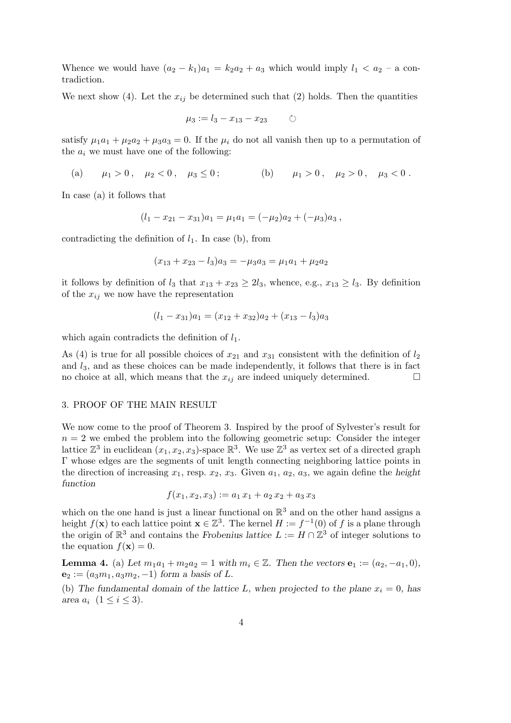Whence we would have  $(a_2 - k_1)a_1 = k_2a_2 + a_3$  which would imply  $l_1 < a_2$  – a contradiction.

We next show (4). Let the  $x_{ij}$  be determined such that (2) holds. Then the quantities

$$
\mu_3 := l_3 - x_{13} - x_{23} \qquad \circlearrowright
$$

satisfy  $\mu_1a_1 + \mu_2a_2 + \mu_3a_3 = 0$ . If the  $\mu_i$  do not all vanish then up to a permutation of the  $a_i$  we must have one of the following:

(a)  $\mu_1 > 0$ ,  $\mu_2 < 0$ ,  $\mu_3 \le 0$ ; (b)  $\mu_1 > 0$ ,  $\mu_2 > 0$ ,  $\mu_3 < 0$ .

In case (a) it follows that

$$
(l_1 - x_{21} - x_{31})a_1 = \mu_1 a_1 = (-\mu_2)a_2 + (-\mu_3)a_3,
$$

contradicting the definition of  $l_1$ . In case (b), from

$$
(x_{13} + x_{23} - l_3)a_3 = -\mu_3 a_3 = \mu_1 a_1 + \mu_2 a_2
$$

it follows by definition of  $l_3$  that  $x_{13} + x_{23} \ge 2l_3$ , whence, e.g.,  $x_{13} \ge l_3$ . By definition of the  $x_{ij}$  we now have the representation

$$
(l_1 - x_{31})a_1 = (x_{12} + x_{32})a_2 + (x_{13} - l_3)a_3
$$

which again contradicts the definition of  $l_1$ .

As (4) is true for all possible choices of  $x_{21}$  and  $x_{31}$  consistent with the definition of  $l_2$ and  $l_3$ , and as these choices can be made independently, it follows that there is in fact no choice at all, which means that the  $x_{ij}$  are indeed uniquely determined.  $\Box$ 

#### 3. PROOF OF THE MAIN RESULT

We now come to the proof of Theorem 3. Inspired by the proof of Sylvester's result for  $n = 2$  we embed the problem into the following geometric setup: Consider the integer lattice  $\mathbb{Z}^3$  in euclidean  $(x_1, x_2, x_3)$ -space  $\mathbb{R}^3$ . We use  $\mathbb{Z}^3$  as vertex set of a directed graph Γ whose edges are the segments of unit length connecting neighboring lattice points in the direction of increasing  $x_1$ , resp.  $x_2$ ,  $x_3$ . Given  $a_1$ ,  $a_2$ ,  $a_3$ , we again define the *height function*

$$
f(x_1, x_2, x_3) := a_1 x_1 + a_2 x_2 + a_3 x_3
$$

which on the one hand is just a linear functional on  $\mathbb{R}^3$  and on the other hand assigns a height  $f(\mathbf{x})$  to each lattice point  $\mathbf{x} \in \mathbb{Z}^3$ . The kernel  $H := f^{-1}(0)$  of f is a plane through the origin of  $\mathbb{R}^3$  and contains the *Frobenius lattice*  $L := H \cap \mathbb{Z}^3$  of integer solutions to the equation  $f(\mathbf{x}) = 0$ .

**Lemma 4.** (a) Let  $m_1a_1 + m_2a_2 = 1$  with  $m_i \in \mathbb{Z}$ . Then the vectors  $e_1 := (a_2, -a_1, 0)$ ,  $e_2 := (a_3m_1, a_3m_2, -1)$  *form a basis of L.* 

(b) The fundamental domain of the lattice L, when projected to the plane  $x_i = 0$ , has *area*  $a_i$   $(1 \le i \le 3)$ *.*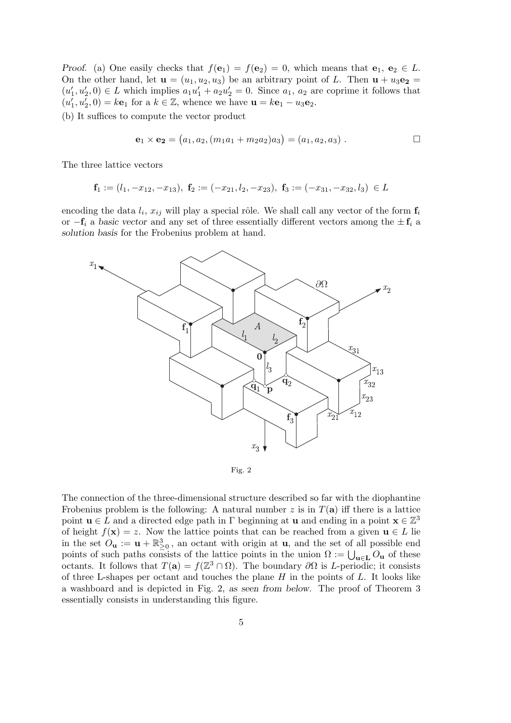*Proof.* (a) One easily checks that  $f(\mathbf{e}_1) = f(\mathbf{e}_2) = 0$ , which means that  $\mathbf{e}_1, \mathbf{e}_2 \in L$ . On the other hand, let  $\mathbf{u} = (u_1, u_2, u_3)$  be an arbitrary point of L. Then  $\mathbf{u} + u_3 \mathbf{e_2} =$  $(u'_1, u'_2, 0) \in L$  which implies  $a_1u'_1 + a_2u'_2 = 0$ . Since  $a_1, a_2$  are coprime it follows that  $(u'_1, u'_2, 0) = k\mathbf{e}_1$  for a  $k \in \mathbb{Z}$ , whence we have  $\mathbf{u} = k\mathbf{e}_1 - u_3\mathbf{e}_2$ .

(b) It suffices to compute the vector product

$$
\mathbf{e}_1 \times \mathbf{e}_2 = (a_1, a_2, (m_1a_1 + m_2a_2)a_3) = (a_1, a_2, a_3) . \square
$$

The three lattice vectors

$$
\mathbf{f}_1:=(l_1,-x_{12},-x_{13}),\ \mathbf{f}_2:=(-x_{21},l_2,-x_{23}),\ \mathbf{f}_3:=(-x_{31},-x_{32},l_3)\ \in L
$$

encoding the data  $l_i$ ,  $x_{ij}$  will play a special rôle. We shall call any vector of the form  $f_i$ or  $-f_i$  a *basic vector* and any set of three essentially different vectors among the  $\pm f_i$  a *solution basis* for the Frobenius problem at hand.



Fig. 2

The connection of the three-dimensional structure described so far with the diophantine Frobenius problem is the following: A natural number z is in  $T(\mathbf{a})$  iff there is a lattice point  $\mathbf{u} \in L$  and a directed edge path in  $\Gamma$  beginning at  $\mathbf{u}$  and ending in a point  $\mathbf{x} \in \mathbb{Z}^3$ of height  $f(\mathbf{x}) = z$ . Now the lattice points that can be reached from a given  $\mathbf{u} \in L$  lie in the set  $O_{\mathbf{u}} := \mathbf{u} + \mathbb{R}^3_{\geq 0}$ , an octant with origin at  $\mathbf{u}$ , and the set of all possible end points of such paths consists of the lattice points in the union  $\Omega := \bigcup_{\mathbf{u} \in \mathbf{L}} O_{\mathbf{u}}$  of these octants. It follows that  $T(\mathbf{a}) = f(\mathbb{Z}^3 \cap \Omega)$ . The boundary  $\partial \Omega$  is L-periodic; it consists of three L-shapes per octant and touches the plane  $H$  in the points of  $L$ . It looks like a washboard and is depicted in Fig. 2, *as seen from below.* The proof of Theorem 3 essentially consists in understanding this figure.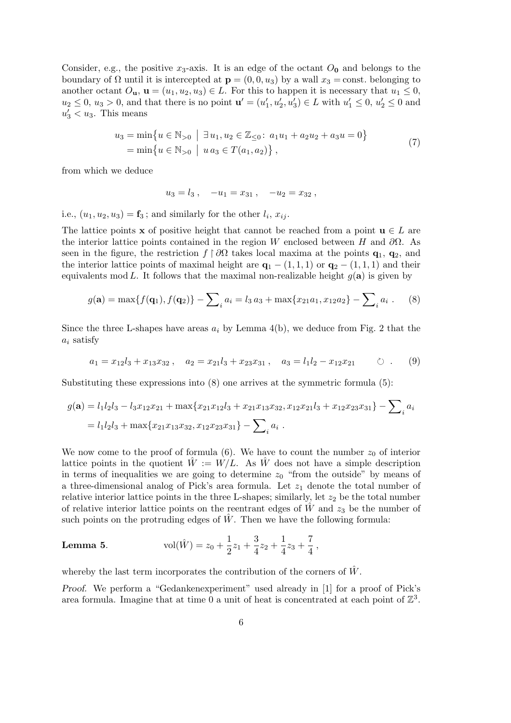Consider, e.g., the positive  $x_3$ -axis. It is an edge of the octant  $O_0$  and belongs to the boundary of  $\Omega$  until it is intercepted at  $\mathbf{p} = (0, 0, u_3)$  by a wall  $x_3 = \text{const.}$  belonging to another octant  $O_{\mathbf{u}}, \mathbf{u} = (u_1, u_2, u_3) \in L$ . For this to happen it is necessary that  $u_1 \leq 0$ ,  $u_2 \le 0, u_3 > 0$ , and that there is no point  $\mathbf{u}' = (u'_1, u'_2, u'_3) \in L$  with  $u'_1 \le 0, u'_2 \le 0$  and  $u'_3 < u_3$ . This means

$$
u_3 = \min\{u \in \mathbb{N}_{>0} \mid \exists u_1, u_2 \in \mathbb{Z}_{\leq 0}: a_1u_1 + a_2u_2 + a_3u = 0\}
$$
  
=  $\min\{u \in \mathbb{N}_{>0} \mid u a_3 \in T(a_1, a_2)\},$  (7)

from which we deduce

$$
u_3 = l_3 \,, \quad -u_1 = x_{31} \,, \quad -u_2 = x_{32} \,,
$$

i.e.,  $(u_1, u_2, u_3) = \mathbf{f}_3$ ; and similarly for the other  $l_i$ ,  $x_{ij}$ .

The lattice points **x** of positive height that cannot be reached from a point  $\mathbf{u} \in L$  are the interior lattice points contained in the region W enclosed between H and  $\partial\Omega$ . As seen in the figure, the restriction  $f \restriction \partial\Omega$  takes local maxima at the points  $\mathbf{q}_1, \mathbf{q}_2$ , and the interior lattice points of maximal height are  $\mathbf{q}_1 - (1, 1, 1)$  or  $\mathbf{q}_2 - (1, 1, 1)$  and their equivalents mod L. It follows that the maximal non-realizable height  $g(\mathbf{a})$  is given by

$$
g(\mathbf{a}) = \max\{f(\mathbf{q}_1), f(\mathbf{q}_2)\} - \sum_{i} a_i = l_3 a_3 + \max\{x_{21}a_1, x_{12}a_2\} - \sum_{i} a_i .
$$
 (8)

Since the three L-shapes have areas  $a_i$  by Lemma 4(b), we deduce from Fig. 2 that the  $a_i$  satisfy

$$
a_1 = x_{12}l_3 + x_{13}x_{32} , \quad a_2 = x_{21}l_3 + x_{23}x_{31} , \quad a_3 = l_1l_2 - x_{12}x_{21} \qquad \circlearrowright . \qquad (9)
$$

Substituting these expressions into (8) one arrives at the symmetric formula (5):

$$
g(\mathbf{a}) = l_1 l_2 l_3 - l_3 x_{12} x_{21} + \max\{x_{21} x_{12} l_3 + x_{21} x_{13} x_{32}, x_{12} x_{21} l_3 + x_{12} x_{23} x_{31}\} - \sum_i a_i
$$
  
=  $l_1 l_2 l_3 + \max\{x_{21} x_{13} x_{32}, x_{12} x_{23} x_{31}\} - \sum_i a_i$ .

We now come to the proof of formula (6). We have to count the number  $z_0$  of interior lattice points in the quotient  $\hat{W} := W/L$ . As  $\hat{W}$  does not have a simple description in terms of inequalities we are going to determine  $z_0$  "from the outside" by means of a three-dimensional analog of Pick's area formula. Let  $z_1$  denote the total number of relative interior lattice points in the three L-shapes; similarly, let  $z_2$  be the total number of relative interior lattice points on the reentrant edges of  $\hat{W}$  and  $z_3$  be the number of such points on the protruding edges of  $\hat{W}$ . Then we have the following formula:

**Lemma 5.** 
$$
\text{vol}(\hat{W}) = z_0 + \frac{1}{2}z_1 + \frac{3}{4}z_2 + \frac{1}{4}z_3 + \frac{7}{4},
$$

whereby the last term incorporates the contribution of the corners of  $\hat{W}$ .

*Proof.* We perform a "Gedankenexperiment" used already in [1] for a proof of Pick's area formula. Imagine that at time 0 a unit of heat is concentrated at each point of  $\mathbb{Z}^3$ .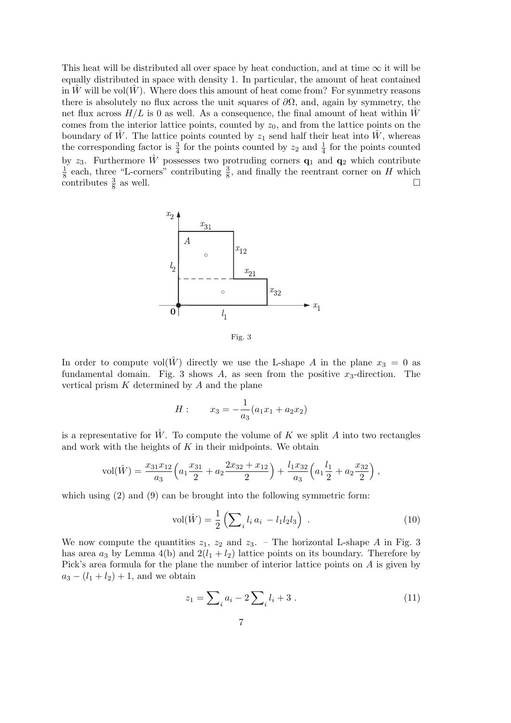This heat will be distributed all over space by heat conduction, and at time  $\infty$  it will be equally distributed in space with density 1. In particular, the amount of heat contained in  $\hat{W}$  will be vol $(\hat{W})$ . Where does this amount of heat come from? For symmetry reasons there is absolutely no flux across the unit squares of  $\partial\Omega$ , and, again by symmetry, the net flux across  $H/L$  is 0 as well. As a consequence, the final amount of heat within W comes from the interior lattice points, counted by  $z_0$ , and from the lattice points on the boundary of  $\hat{W}$ . The lattice points counted by  $z_1$  send half their heat into  $\hat{W}$ , whereas the corresponding factor is  $\frac{3}{4}$  for the points counted by  $z_2$  and  $\frac{1}{4}$  for the points counted by  $z_3$ . Furthermore  $\hat{W}$  possesses two protruding corners  $\mathbf{q}_1$  and  $\mathbf{q}_2$  which contribute  $\frac{1}{8}$  each, three "L-corners" contributing  $\frac{3}{8}$ , and finally the reentrant corner on H which contributes  $\frac{3}{8}$  as well.



Fig. 3

In order to compute vol $(\hat{W})$  directly we use the L-shape A in the plane  $x_3 = 0$  as fundamental domain. Fig. 3 shows A, as seen from the positive  $x_3$ -direction. The vertical prism  $K$  determined by  $A$  and the plane

$$
H: \qquad x_3 = -\frac{1}{a_3}(a_1x_1 + a_2x_2)
$$

is a representative for  $\hat{W}$ . To compute the volume of K we split A into two rectangles and work with the heights of  $K$  in their midpoints. We obtain

$$
vol(\hat{W}) = \frac{x_{31}x_{12}}{a_3} \left( a_1 \frac{x_{31}}{2} + a_2 \frac{2x_{32} + x_{12}}{2} \right) + \frac{l_1 x_{32}}{a_3} \left( a_1 \frac{l_1}{2} + a_2 \frac{x_{32}}{2} \right),
$$

which using  $(2)$  and  $(9)$  can be brought into the following symmetric form:

$$
vol(\hat{W}) = \frac{1}{2} \left( \sum_{i} l_i a_i - l_1 l_2 l_3 \right) . \tag{10}
$$

We now compute the quantities  $z_1$ ,  $z_2$  and  $z_3$ . – The horizontal L-shape A in Fig. 3 has area  $a_3$  by Lemma 4(b) and  $2(l_1 + l_2)$  lattice points on its boundary. Therefore by Pick's area formula for the plane the number of interior lattice points on A is given by  $a_3 - (l_1 + l_2) + 1$ , and we obtain

$$
z_1 = \sum_{i} a_i - 2 \sum_{i} l_i + 3 \tag{11}
$$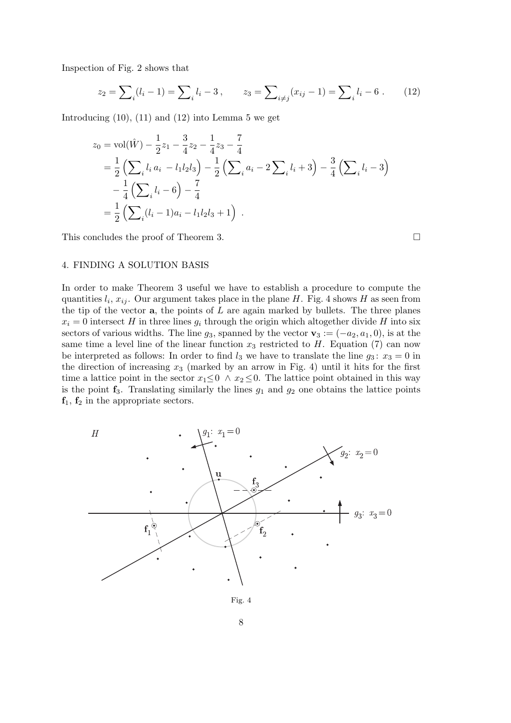Inspection of Fig. 2 shows that

$$
z_2 = \sum_{i} (l_i - 1) = \sum_{i} l_i - 3, \qquad z_3 = \sum_{i \neq j} (x_{ij} - 1) = \sum_{i} l_i - 6. \tag{12}
$$

Introducing  $(10)$ ,  $(11)$  and  $(12)$  into Lemma 5 we get

$$
z_0 = \text{vol}(\hat{W}) - \frac{1}{2}z_1 - \frac{3}{4}z_2 - \frac{1}{4}z_3 - \frac{7}{4}
$$
  
=  $\frac{1}{2} \left( \sum_i l_i a_i - l_1 l_2 l_3 \right) - \frac{1}{2} \left( \sum_i a_i - 2 \sum_i l_i + 3 \right) - \frac{3}{4} \left( \sum_i l_i - 3 \right)$   
 $- \frac{1}{4} \left( \sum_i l_i - 6 \right) - \frac{7}{4}$   
=  $\frac{1}{2} \left( \sum_i (l_i - 1) a_i - l_1 l_2 l_3 + 1 \right)$ .

This concludes the proof of Theorem 3.  $\Box$ 

# 4. FINDING A SOLUTION BASIS

In order to make Theorem 3 useful we have to establish a procedure to compute the quantities  $l_i, x_{ij}$ . Our argument takes place in the plane H. Fig. 4 shows H as seen from the tip of the vector  $a$ , the points of  $L$  are again marked by bullets. The three planes  $x_i = 0$  intersect H in three lines  $g_i$  through the origin which altogether divide H into six sectors of various widths. The line  $g_3$ , spanned by the vector  $\mathbf{v}_3 := (-a_2, a_1, 0)$ , is at the same time a level line of the linear function  $x_3$  restricted to H. Equation (7) can now be interpreted as follows: In order to find  $l_3$  we have to translate the line  $g_3: x_3 = 0$  in the direction of increasing  $x_3$  (marked by an arrow in Fig. 4) until it hits for the first time a lattice point in the sector  $x_1 \leq 0 \land x_2 \leq 0$ . The lattice point obtained in this way is the point  $f_3$ . Translating similarly the lines  $g_1$  and  $g_2$  one obtains the lattice points  $f_1, f_2$  in the appropriate sectors.

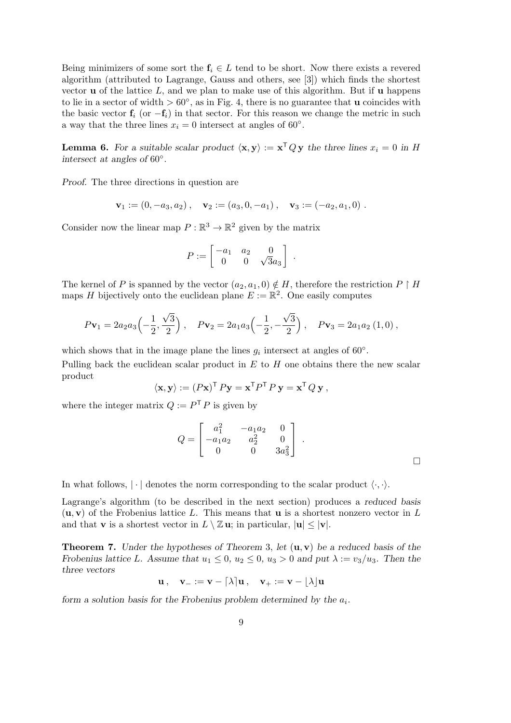Being minimizers of some sort the  $f_i \in L$  tend to be short. Now there exists a revered algorithm (attributed to Lagrange, Gauss and others, see [3]) which finds the shortest vector **u** of the lattice L, and we plan to make use of this algorithm. But if **u** happens to lie in a sector of width  $> 60°$ , as in Fig. 4, there is no guarantee that **u** coincides with the basic vector  $f_i$  (or  $-f_i$ ) in that sector. For this reason we change the metric in such a way that the three lines  $x_i = 0$  intersect at angles of 60°.

**Lemma 6.** For a suitable scalar product  $\langle x, y \rangle := x^T Q y$  the three lines  $x_i = 0$  in H *intersect at angles of* 60◦*.*

*Proof.* The three directions in question are

$$
\mathbf{v}_1 := (0, -a_3, a_2), \quad \mathbf{v}_2 := (a_3, 0, -a_1), \quad \mathbf{v}_3 := (-a_2, a_1, 0).
$$

Consider now the linear map  $P : \mathbb{R}^3 \to \mathbb{R}^2$  given by the matrix

$$
P:=\left[\begin{matrix} -a_1&a_2&0\\0&0&\sqrt{3}a_3 \end{matrix}\right] \ .
$$

The kernel of P is spanned by the vector  $(a_2, a_1, 0) \notin H$ , therefore the restriction P | H maps H bijectively onto the euclidean plane  $E := \mathbb{R}^2$ . One easily computes

$$
Pv_1 = 2a_2a_3\left(-\frac{1}{2}, \frac{\sqrt{3}}{2}\right), \quad Pv_2 = 2a_1a_3\left(-\frac{1}{2}, -\frac{\sqrt{3}}{2}\right), \quad Pv_3 = 2a_1a_2(1,0),
$$

which shows that in the image plane the lines  $g_i$  intersect at angles of 60 $\degree$ .

Pulling back the euclidean scalar product in  $E$  to  $H$  one obtains there the new scalar product

$$
\langle \mathbf{x}, \mathbf{y} \rangle := (P\mathbf{x})^{\mathsf{T}} P \mathbf{y} = \mathbf{x}^{\mathsf{T}} P^{\mathsf{T}} P \mathbf{y} = \mathbf{x}^{\mathsf{T}} Q \mathbf{y},
$$

where the integer matrix  $Q := P^T P$  is given by

$$
Q = \begin{bmatrix} a_1^2 & -a_1 a_2 & 0 \\ -a_1 a_2 & a_2^2 & 0 \\ 0 & 0 & 3a_3^2 \end{bmatrix} .
$$

In what follows,  $|\cdot|$  denotes the norm corresponding to the scalar product  $\langle \cdot, \cdot \rangle$ .

Lagrange's algorithm (to be described in the next section) produces a *reduced basis*  $(\mathbf{u}, \mathbf{v})$  of the Frobenius lattice L. This means that **u** is a shortest nonzero vector in L and that **v** is a shortest vector in  $L \setminus \mathbb{Z}$ **u**; in particular,  $|\mathbf{u}| \leq |\mathbf{v}|$ .

Theorem 7. *Under the hypotheses of Theorem* 3, *let* (u, v) *be a reduced basis of the Frobenius lattice L.* Assume that  $u_1 \leq 0$ ,  $u_2 \leq 0$ ,  $u_3 > 0$  and put  $\lambda := v_3/u_3$ . Then the *three vectors*

$$
\mathbf{u}\,,\quad \mathbf{v}_{-}:=\mathbf{v}-\lceil \lambda \rceil \mathbf{u}\,,\quad \mathbf{v}_{+}:=\mathbf{v}-\lfloor \lambda \rfloor \mathbf{u}
$$

*form a solution basis for the Frobenius problem determined by the*  $a_i$ .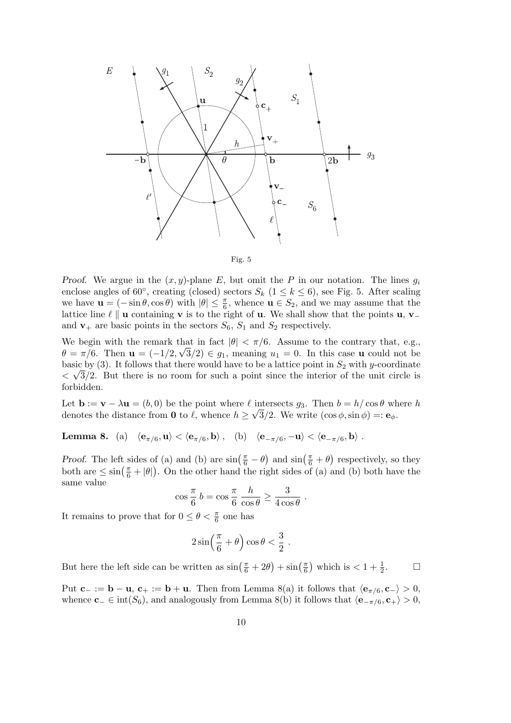



*Proof.* We argue in the  $(x, y)$ -plane E, but omit the P in our notation. The lines  $g_i$ enclose angles of 60°, creating (closed) sectors  $S_k$  ( $1 \leq k \leq 6$ ), see Fig. 5. After scaling we have  $\mathbf{u} = (-\sin \theta, \cos \theta)$  with  $|\theta| \leq \frac{\pi}{6}$ , whence  $\mathbf{u} \in S_2$ , and we may assume that the lattice line  $\ell \parallel u$  containing v is to the right of u. We shall show that the points u, v\_ and  $\mathbf{v}_+$  are basic points in the sectors  $S_6$ ,  $S_1$  and  $S_2$  respectively.

We begin with the remark that in fact  $|\theta| < \pi/6$ . Assume to the contrary that, e.g.,  $\theta = \pi/6$ . Then  $\mathbf{u} = (-1/2, \sqrt{3}/2) \in g_1$ , meaning  $u_1 = 0$ . In this case **u** could not be basic by (3). It follows that there would have to be a lattice point in  $S_2$  with y-coordinate  $\langle \sqrt{3}/2$ . But there is no room for such a point since the interior of the unit circle is forbidden.

Let  $\mathbf{b} := \mathbf{v} - \lambda \mathbf{u} = (b, 0)$  be the point where  $\ell$  intersects  $g_3$ . Then  $b = h/\cos\theta$  where h denotes the distance from **0** to  $\ell$ , whence  $h \geq \sqrt{3}/2$ . We write  $(\cos \phi, \sin \phi) =: \mathbf{e}_{\phi}$ .

**Lemma 8.** (a)  $\langle e_{\pi/6}, \mathbf{u} \rangle < \langle e_{\pi/6}, \mathbf{b} \rangle$ , (b)  $\langle e_{-\pi/6}, -\mathbf{u} \rangle < \langle e_{-\pi/6}, \mathbf{b} \rangle$ .

*Proof.* The left sides of (a) and (b) are  $\sin(\frac{\pi}{6} - \theta)$  and  $\sin(\frac{\pi}{6} + \theta)$  respectively, so they both are  $\leq \sin(\frac{\pi}{6} + |\theta|)$ . On the other hand the right sides of (a) and (b) both have the same value

$$
\cos\frac{\pi}{6} b = \cos\frac{\pi}{6} \frac{h}{\cos\theta} \ge \frac{3}{4\cos\theta} .
$$

It remains to prove that for  $0 \leq \theta < \frac{\pi}{6}$  one has

$$
2\sin\left(\frac{\pi}{6}+\theta\right)\cos\theta < \frac{3}{2}.
$$

But here the left side can be written as  $\sin(\frac{\pi}{6} + 2\theta) + \sin(\frac{\pi}{6})$  which is  $< 1 + \frac{1}{2}$ .

Put  $\mathbf{c}_- := \mathbf{b} - \mathbf{u}, \, \mathbf{c}_+ := \mathbf{b} + \mathbf{u}.$  Then from Lemma 8(a) it follows that  $\langle \mathbf{e}_{\pi/6}, \mathbf{c}_- \rangle > 0,$ whence  $c_-\in \text{int}(S_6)$ , and analogously from Lemma 8(b) it follows that  $\langle e_{-\pi/6}, c_+\rangle > 0$ ,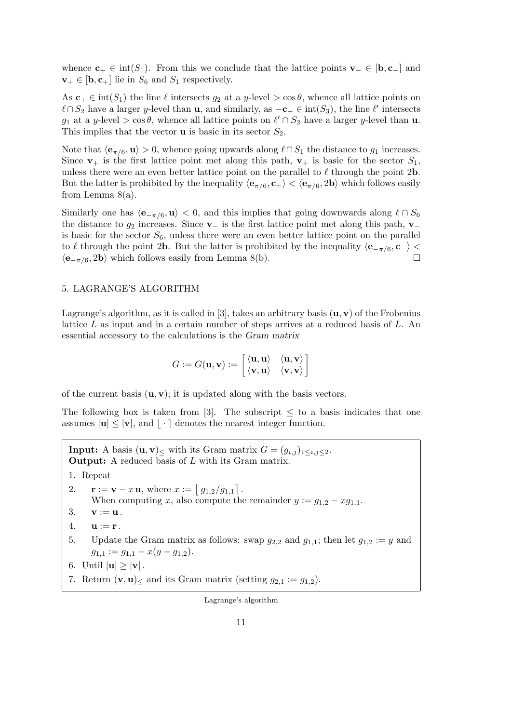whence  $\mathbf{c}_+ \in \text{int}(S_1)$ . From this we conclude that the lattice points  $\mathbf{v}_- \in [\mathbf{b}, \mathbf{c}_-]$  and  $\mathbf{v}_+ \in [\mathbf{b}, \mathbf{c}_+]$  lie in  $S_6$  and  $S_1$  respectively.

As  $c_+ \in \text{int}(S_1)$  the line  $\ell$  intersects  $g_2$  at a y-level  $> \cos \theta$ , whence all lattice points on  $\ell \cap S_2$  have a larger y-level than **u**, and similarly, as  $-c_$  ∈ int(S<sub>3</sub>), the line  $\ell'$  intersects g<sub>1</sub> at a y-level > cos  $\theta$ , whence all lattice points on  $\ell' \cap S_2$  have a larger y-level than **u**. This implies that the vector  $\bf{u}$  is basic in its sector  $S_2$ .

Note that  $\langle \mathbf{e}_{\pi/6}, \mathbf{u} \rangle > 0$ , whence going upwards along  $\ell \cap S_1$  the distance to  $g_1$  increases. Since  $v_+$  is the first lattice point met along this path,  $v_+$  is basic for the sector  $S_1$ , unless there were an even better lattice point on the parallel to  $\ell$  through the point 2b. But the latter is prohibited by the inequality  $\langle \mathbf{e}_{\pi/6}, \mathbf{c}_+ \rangle < \langle \mathbf{e}_{\pi/6}, 2\mathbf{b} \rangle$  which follows easily from Lemma  $8(a)$ .

Similarly one has  $\langle e_{-\pi/6}, u \rangle < 0$ , and this implies that going downwards along  $\ell \cap S_6$ the distance to  $g_2$  increases. Since  $\mathbf{v}_-$  is the first lattice point met along this path,  $\mathbf{v}_$ is basic for the sector  $S_6$ , unless there were an even better lattice point on the parallel to  $\ell$  through the point 2b. But the latter is prohibited by the inequality  $\langle e_{-\pi/6}, c_{-} \rangle$  $\langle \mathbf{e}_{-\pi/6}, 2\mathbf{b} \rangle$  which follows easily from Lemma 8(b).

# 5. LAGRANGE'S ALGORITHM

Lagrange's algorithm, as it is called in [3], takes an arbitrary basis  $(\mathbf{u}, \mathbf{v})$  of the Frobenius lattice  $L$  as input and in a certain number of steps arrives at a reduced basis of  $L$ . An essential accessory to the calculations is the *Gram matrix*

$$
G:=G(\mathbf{u},\mathbf{v}):=\left[\begin{matrix} \langle \mathbf{u},\mathbf{u} \rangle & \langle \mathbf{u},\mathbf{v} \rangle \\ \langle \mathbf{v},\mathbf{u} \rangle & \langle \mathbf{v},\mathbf{v} \rangle \end{matrix}\right]
$$

of the current basis  $(\mathbf{u}, \mathbf{v})$ ; it is updated along with the basis vectors.

The following box is taken from [3]. The subscript  $\leq$  to a basis indicates that one assumes  $|\mathbf{u}| \leq |\mathbf{v}|$ , and  $|\cdot|$  denotes the nearest integer function.

**Input:** A basis  $(\mathbf{u}, \mathbf{v})$ < with its Gram matrix  $G = (g_{i,j})_{1 \leq i,j \leq 2}$ . Output: A reduced basis of L with its Gram matrix. 1. Repeat 2.  $\mathbf{r} := \mathbf{v} - x \mathbf{u}$ , where  $x := \lfloor g_{1,2}/g_{1,1} \rfloor$ . When computing x, also compute the remainder  $y := g_{1,2} - x g_{1,1}$ . 3.  $\mathbf{v} := \mathbf{u}$ . 4.  $\mathbf{u} := \mathbf{r}$ . 5. Update the Gram matrix as follows: swap  $g_{2,2}$  and  $g_{1,1}$ ; then let  $g_{1,2} := y$  and  $g_{1,1} := g_{1,1} - x(y + g_{1,2}).$ 6. Until  $|\mathbf{u}| \geq |\mathbf{v}|$ . 7. Return  $(v, u)_{\le}$  and its Gram matrix (setting  $q_{2,1} := q_{1,2}$ ). Lagrange's algorithm